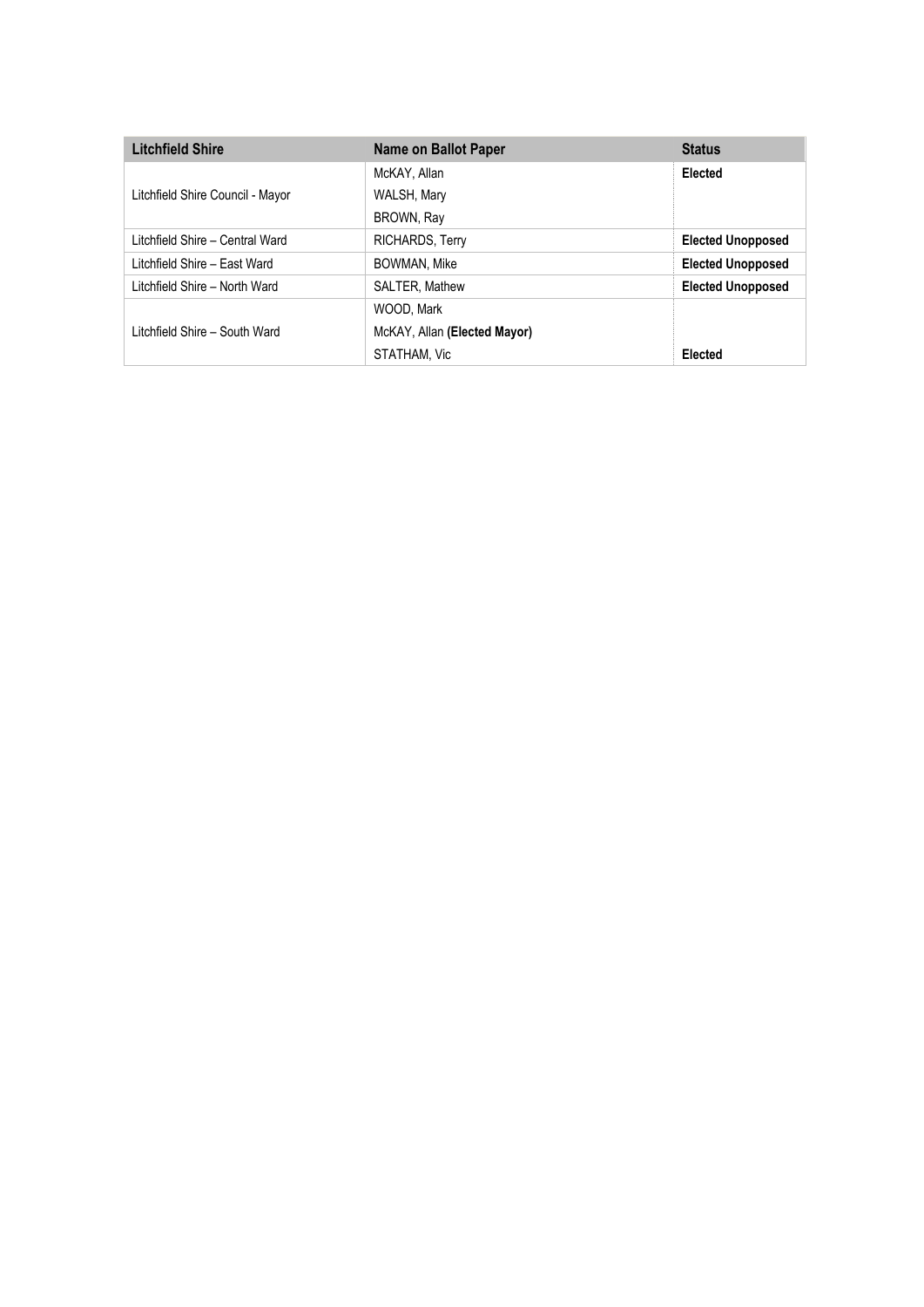| <b>Litchfield Shire</b>          | Name on Ballot Paper         | <b>Status</b>            |
|----------------------------------|------------------------------|--------------------------|
|                                  | McKAY, Allan                 | Elected                  |
| Litchfield Shire Council - Mayor | WALSH, Mary                  |                          |
|                                  | BROWN, Ray                   |                          |
| Litchfield Shire - Central Ward  | RICHARDS, Terry              | <b>Elected Unopposed</b> |
| Litchfield Shire - East Ward     | BOWMAN, Mike                 | <b>Elected Unopposed</b> |
| Litchfield Shire - North Ward    | SALTER, Mathew               | <b>Elected Unopposed</b> |
|                                  | WOOD, Mark                   |                          |
| Litchfield Shire - South Ward    | McKAY, Allan (Elected Mayor) |                          |
|                                  | STATHAM, Vic                 | Elected                  |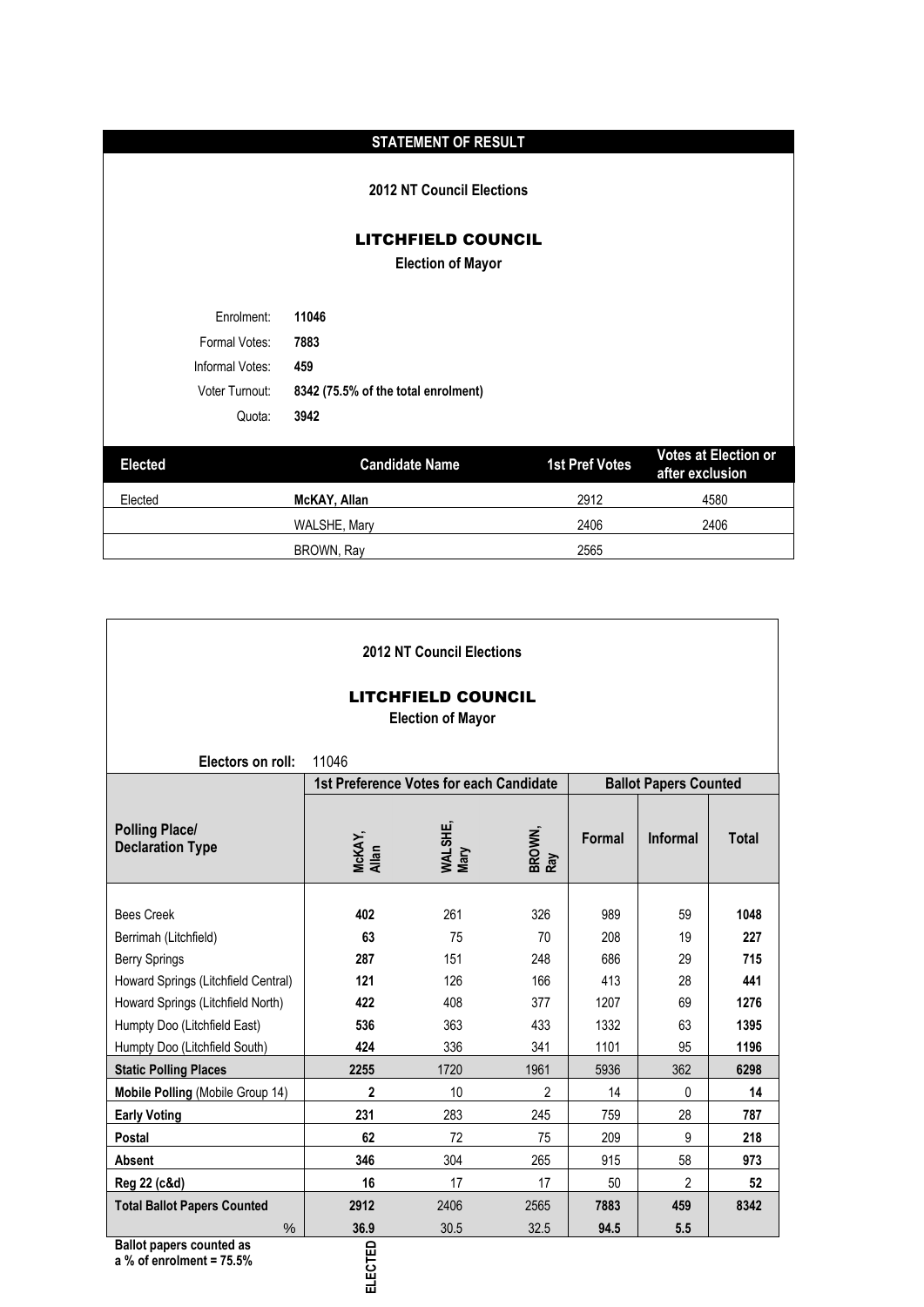|                 | <b>STATEMENT OF RESULT</b>                            |                       |                                                |
|-----------------|-------------------------------------------------------|-----------------------|------------------------------------------------|
|                 | <b>2012 NT Council Elections</b>                      |                       |                                                |
|                 | <b>LITCHFIELD COUNCIL</b><br><b>Election of Mayor</b> |                       |                                                |
| Enrolment:      | 11046                                                 |                       |                                                |
| Formal Votes:   | 7883                                                  |                       |                                                |
| Informal Votes: | 459                                                   |                       |                                                |
| Voter Turnout:  | 8342 (75.5% of the total enrolment)                   |                       |                                                |
| Quota:          | 3942                                                  |                       |                                                |
| <b>Elected</b>  | <b>Candidate Name</b>                                 | <b>1st Pref Votes</b> | <b>Votes at Election or</b><br>after exclusion |
| Elected         | McKAY, Allan                                          | 2912                  | 4580                                           |
|                 | WALSHE, Mary                                          | 2406                  | 2406                                           |
|                 | BROWN, Ray                                            | 2565                  |                                                |

| <b>2012 NT Council Elections</b><br><b>LITCHFIELD COUNCIL</b><br><b>Election of Mayor</b> |                                         |                 |                |        |                              |              |  |  |  |  |
|-------------------------------------------------------------------------------------------|-----------------------------------------|-----------------|----------------|--------|------------------------------|--------------|--|--|--|--|
| Electors on roll:                                                                         | 11046                                   |                 |                |        |                              |              |  |  |  |  |
|                                                                                           | 1st Preference Votes for each Candidate |                 |                |        | <b>Ballot Papers Counted</b> |              |  |  |  |  |
| <b>Polling Place/</b><br><b>Declaration Type</b>                                          | McKAY,<br>Allan                         | WALSHE,<br>Mary | BROWN,<br>Ray  | Formal | Informal                     | <b>Total</b> |  |  |  |  |
| <b>Bees Creek</b>                                                                         | 402                                     | 261             | 326            | 989    | 59                           | 1048         |  |  |  |  |
|                                                                                           | 63                                      | 75              | 70             | 208    | 19                           | 227          |  |  |  |  |
| Berrimah (Litchfield)<br><b>Berry Springs</b>                                             | 287                                     | 151             | 248            | 686    | 29                           | 715          |  |  |  |  |
| Howard Springs (Litchfield Central)                                                       | 121                                     | 126             | 166            | 413    | 28                           | 441          |  |  |  |  |
| Howard Springs (Litchfield North)                                                         | 422                                     | 408             | 377            | 1207   | 69                           | 1276         |  |  |  |  |
| Humpty Doo (Litchfield East)                                                              | 536                                     | 363             | 433            | 1332   | 63                           | 1395         |  |  |  |  |
| Humpty Doo (Litchfield South)                                                             | 424                                     | 336             | 341            | 1101   | 95                           | 1196         |  |  |  |  |
| <b>Static Polling Places</b>                                                              | 2255                                    | 1720            | 1961           | 5936   | 362                          | 6298         |  |  |  |  |
| Mobile Polling (Mobile Group 14)                                                          | $\mathbf{2}$                            | 10              | $\mathfrak{p}$ | 14     | 0                            | 14           |  |  |  |  |
| <b>Early Voting</b>                                                                       | 231                                     | 283             | 245            | 759    | 28                           | 787          |  |  |  |  |
| Postal                                                                                    | 62                                      | 72              | 75             | 209    | 9                            | 218          |  |  |  |  |
| Absent                                                                                    | 346                                     | 304             | 265            | 915    | 58                           | 973          |  |  |  |  |
| Reg 22 (c&d)                                                                              | 16                                      | 17              | 17             | 50     | $\overline{2}$               | 52           |  |  |  |  |
| <b>Total Ballot Papers Counted</b>                                                        | 2912                                    | 2406            | 2565           | 7883   | 459                          | 8342         |  |  |  |  |
| $\%$<br>$\sim$                                                                            | 36.9                                    | 30.5            | 32.5           | 94.5   | 5.5                          |              |  |  |  |  |

**Ballot papers counted as** 

**a % of enrolment = 75.5%**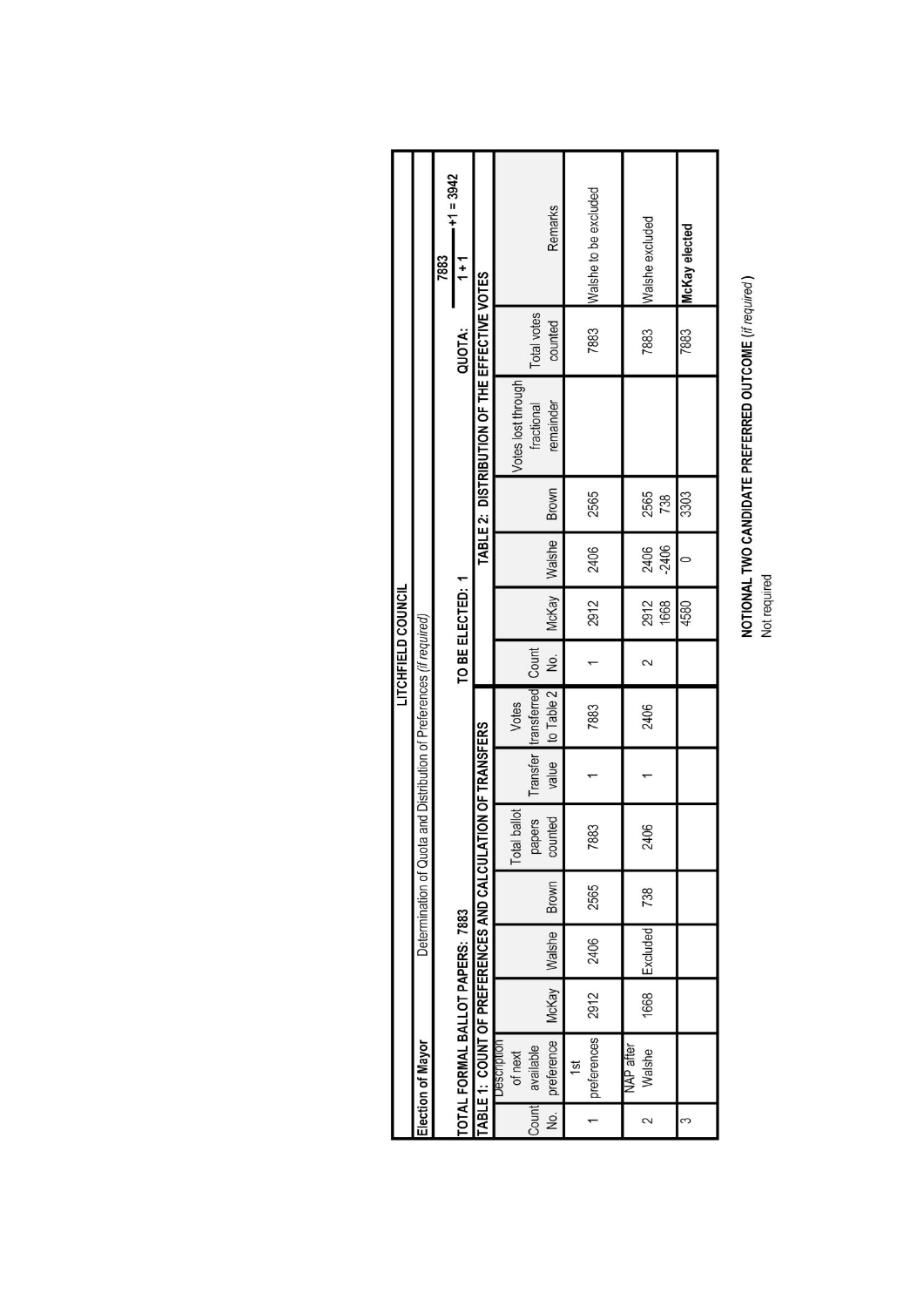|                    |                                                                      | $-11 = 3942$<br>7883 | $1 + 1$                          |                                              |                        | Remarks                                  | Walshe to be excluded | Walshe excluded     | McKay elected |                  |                 |   |  |  |       |      |
|--------------------|----------------------------------------------------------------------|----------------------|----------------------------------|----------------------------------------------|------------------------|------------------------------------------|-----------------------|---------------------|---------------|------------------|-----------------|---|--|--|-------|------|
|                    |                                                                      |                      | QUOTA:                           |                                              |                        | Total votes<br>counted                   | 7883                  | 7883                | 7883          |                  |                 |   |  |  |       |      |
|                    |                                                                      |                      |                                  | TABLE 2: DISTRIBUTION OF THE EFFECTIVE VOTES | Votes lost through     | remainder<br>fractional                  |                       |                     |               |                  |                 |   |  |  |       |      |
|                    |                                                                      |                      |                                  |                                              |                        | Brown                                    | 2565                  | 2565<br>738         | 3303          |                  |                 |   |  |  |       |      |
|                    |                                                                      |                      |                                  |                                              |                        |                                          |                       |                     | Walshe        | 2406             | $-2406$<br>2406 |   |  |  |       |      |
| LITCHFIELD COUNCIL |                                                                      |                      |                                  |                                              |                        |                                          |                       |                     |               | TO BE ELECTED: 1 |                 |   |  |  | McKay | 2912 |
|                    |                                                                      |                      |                                  |                                              |                        |                                          |                       |                     |               | 2.               |                 | 2 |  |  |       |      |
|                    |                                                                      |                      |                                  |                                              | Votes                  | Transfer transferred Count<br>to Table 2 | 7883                  | 2406                |               |                  |                 |   |  |  |       |      |
|                    |                                                                      |                      |                                  |                                              |                        |                                          | TION OF TRANSFERS     |                     | value         |                  |                 |   |  |  |       |      |
|                    | Determination of Quota and Distribution of Preferences (if required) |                      |                                  |                                              |                        |                                          | ballot<br>Total       | counted<br>papers   | 7883          | 2406             |                 |   |  |  |       |      |
|                    |                                                                      |                      |                                  |                                              |                        | Brown                                    | 2565                  | 738                 |               |                  |                 |   |  |  |       |      |
|                    |                                                                      |                      |                                  |                                              |                        | Walshe                                   | 2406                  | Excluded            |               |                  |                 |   |  |  |       |      |
|                    |                                                                      |                      |                                  |                                              |                        | McKay                                    | 2912                  | 1668                |               |                  |                 |   |  |  |       |      |
|                    | Election of Mayor                                                    |                      | TOTAL FORMAL BALLOT PAPERS: 7883 | TABLE 1: COUNT OF PREFERENCES AND CALCULA    | Description<br>of next | preference<br>available                  | preferences<br>15t    | NAP after<br>Walshe |               |                  |                 |   |  |  |       |      |
|                    |                                                                      |                      |                                  |                                              |                        | Count<br>,<br>2                          |                       | 2                   | 3             |                  |                 |   |  |  |       |      |

**NOTIONAL TWO CANDIDATE PREFERRED OUTCOME (if required)**<br>Not required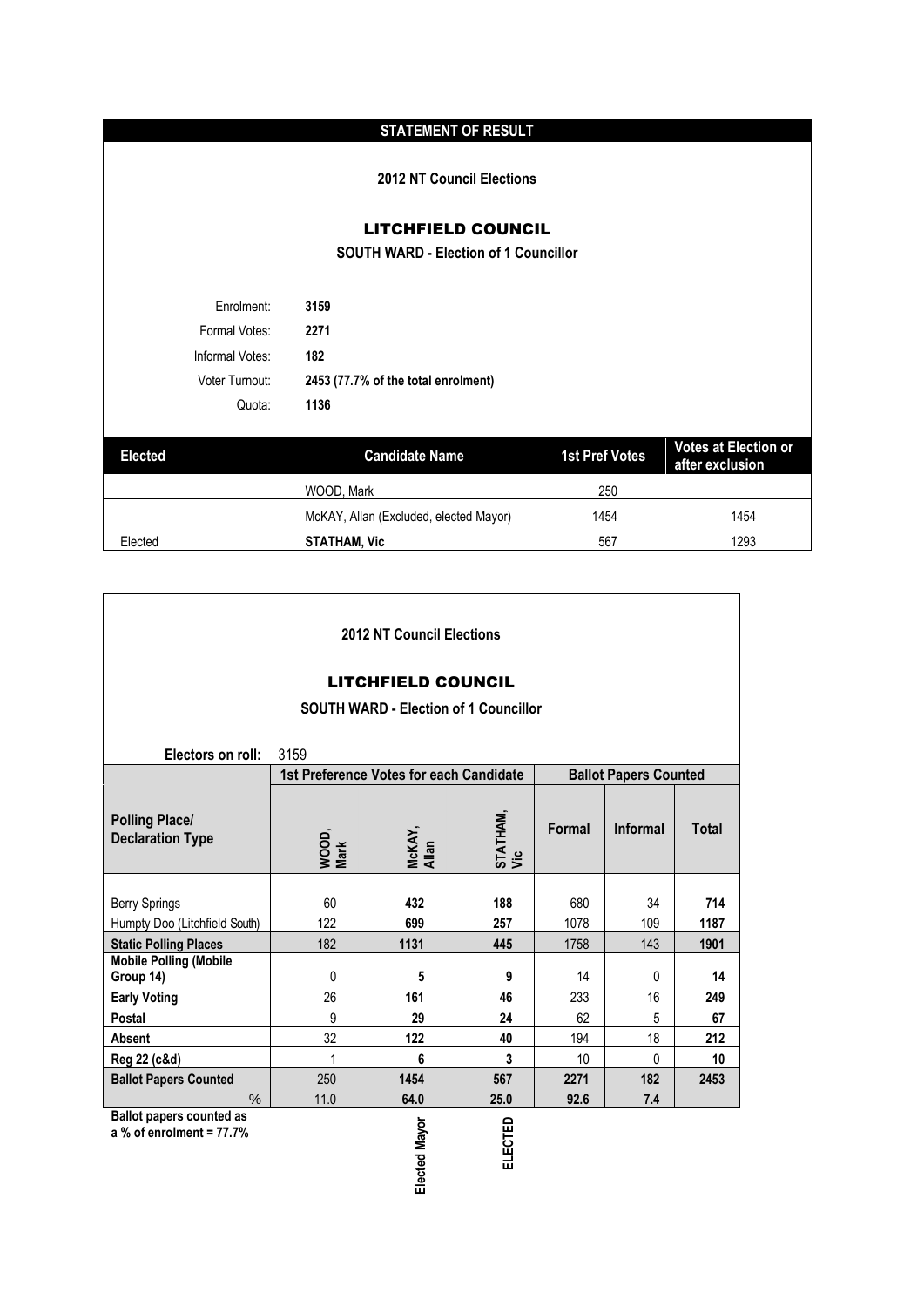## **STATEMENT OF RESULT**

**2012 NT Council Elections**

LITCHFIELD COUNCIL

**SOUTH WARD - Election of 1 Councillor**

| Enrolment:      | 3159                                |
|-----------------|-------------------------------------|
| Formal Votes:   | 2271                                |
| Informal Votes: | 182                                 |
| Voter Turnout:  | 2453 (77.7% of the total enrolment) |
| Quota:          | 1136                                |

| <b>Elected</b> | <b>Candidate Name</b>                  | <b>1st Pref Votes</b> | Votes at Election or<br>after exclusion |
|----------------|----------------------------------------|-----------------------|-----------------------------------------|
|                | WOOD, Mark                             | 250                   |                                         |
|                | McKAY, Allan (Excluded, elected Mayor) | 1454                  | 1454                                    |
| Elected        | <b>STATHAM. Vic</b>                    | 567                   | 1293                                    |

|                                                               |                                         | 2012 NT Council Elections |                         |        |                              |              |  |  |  |  |  |  |
|---------------------------------------------------------------|-----------------------------------------|---------------------------|-------------------------|--------|------------------------------|--------------|--|--|--|--|--|--|
| <b>LITCHFIELD COUNCIL</b>                                     |                                         |                           |                         |        |                              |              |  |  |  |  |  |  |
| <b>SOUTH WARD - Election of 1 Councillor</b>                  |                                         |                           |                         |        |                              |              |  |  |  |  |  |  |
|                                                               |                                         |                           |                         |        |                              |              |  |  |  |  |  |  |
| Electors on roll:                                             | 3159                                    |                           |                         |        |                              |              |  |  |  |  |  |  |
|                                                               | 1st Preference Votes for each Candidate |                           |                         |        | <b>Ballot Papers Counted</b> |              |  |  |  |  |  |  |
| <b>Polling Place/</b><br><b>Declaration Type</b>              | WOOD,<br>Mark                           | McKAY,<br>Allan           | <b>STATHAM,<br/>Vic</b> | Formal | <b>Informal</b>              | <b>Total</b> |  |  |  |  |  |  |
|                                                               |                                         |                           |                         |        |                              |              |  |  |  |  |  |  |
| <b>Berry Springs</b>                                          | 60                                      | 432                       | 188                     | 680    | 34                           | 714          |  |  |  |  |  |  |
| Humpty Doo (Litchfield South)                                 | 122                                     | 699                       | 257                     | 1078   | 109                          | 1187         |  |  |  |  |  |  |
| <b>Static Polling Places</b>                                  | 182                                     | 1131                      | 445                     | 1758   | 143                          | 1901         |  |  |  |  |  |  |
| <b>Mobile Polling (Mobile</b><br>Group 14)                    | $\mathbf{0}$                            | 5                         | 9                       | 14     | 0                            | 14           |  |  |  |  |  |  |
| <b>Early Voting</b>                                           | 26                                      | 161                       | 46                      | 233    | 16                           | 249          |  |  |  |  |  |  |
| Postal                                                        | 9                                       | 29                        | 24                      | 62     | 5                            | 67           |  |  |  |  |  |  |
| Absent                                                        | 32                                      | 122                       | 40                      | 194    | 18                           | 212          |  |  |  |  |  |  |
| Reg 22 (c&d)                                                  | $\overline{1}$                          | 6                         | 3                       | 10     | $\mathbf{0}$                 | 10           |  |  |  |  |  |  |
| <b>Ballot Papers Counted</b>                                  | 250                                     | 1454                      | 567                     | 2271   | 182                          | 2453         |  |  |  |  |  |  |
| $\%$                                                          | 11.0                                    | 64.0                      | 25.0                    | 92.6   | 7.4                          |              |  |  |  |  |  |  |
| <b>Ballot papers counted as</b><br>a % of enrolment = $77.7%$ |                                         | ted Mayor                 | ELECTED                 |        |                              |              |  |  |  |  |  |  |

Ï